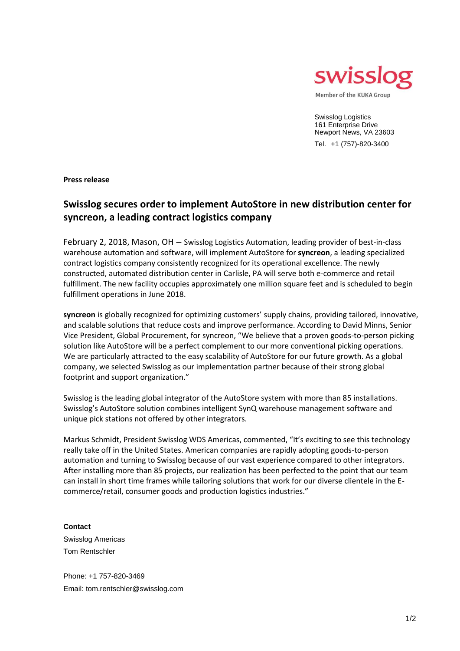

Swisslog Logistics 161 Enterprise Drive Newport News, VA 23603 Tel. +1 (757)-820-3400

**Press release**

## **Swisslog secures order to implement AutoStore in new distribution center for syncreon, a leading contract logistics company**

February 2, 2018, Mason, OH – Swisslog Logistics Automation, leading provider of best-in-class warehouse automation and software, will implement AutoStore for **syncreon**, a leading specialized contract logistics company consistently recognized for its operational excellence. The newly constructed, automated distribution center in Carlisle, PA will serve both e-commerce and retail fulfillment. The new facility occupies approximately one million square feet and is scheduled to begin fulfillment operations in June 2018.

**syncreon** is globally recognized for optimizing customers' supply chains, providing tailored, innovative, and scalable solutions that reduce costs and improve performance. According to David Minns, Senior Vice President, Global Procurement, for syncreon, "We believe that a proven goods-to-person picking solution like AutoStore will be a perfect complement to our more conventional picking operations. We are particularly attracted to the easy scalability of AutoStore for our future growth. As a global company, we selected Swisslog as our implementation partner because of their strong global footprint and support organization."

Swisslog is the leading global integrator of the AutoStore system with more than 85 installations. Swisslog's AutoStore solution combines intelligent SynQ warehouse management software and unique pick stations not offered by other integrators.

Markus Schmidt, President Swisslog WDS Americas, commented, "It's exciting to see this technology really take off in the United States. American companies are rapidly adopting goods-to-person automation and turning to Swisslog because of our vast experience compared to other integrators. After installing more than 85 projects, our realization has been perfected to the point that our team can install in short time frames while tailoring solutions that work for our diverse clientele in the Ecommerce/retail, consumer goods and production logistics industries."

**Contact** Swisslog Americas Tom Rentschler

Phone: +1 757-820-3469 Email: tom.rentschler@swisslog.com